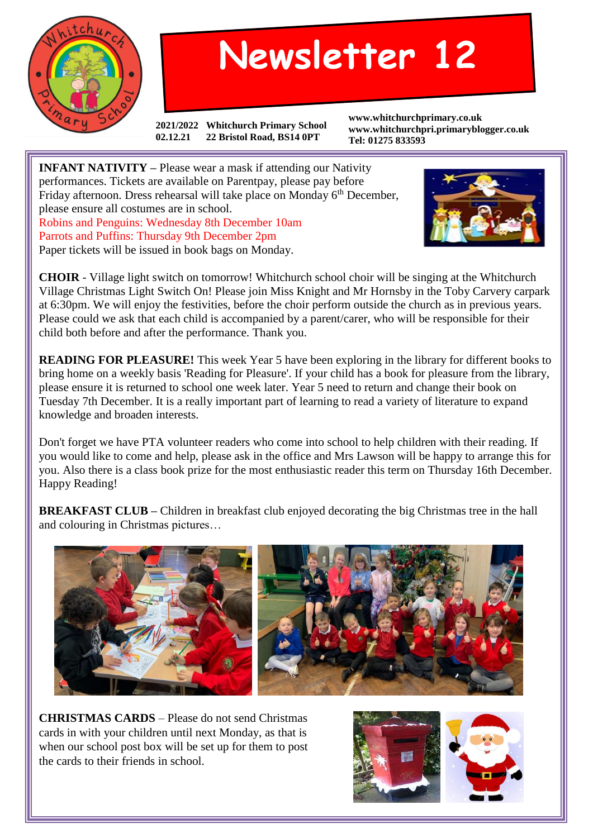

## **Newsletter 12**

**2021/2022 Whitchurch Primary School 02.12.21 22 Bristol Road, BS14 0PT**

**www.whitchurchprimary.co.uk www.whitchurchpri.primaryblogger.co.uk Tel: 01275 833593**

**INFANT NATIVITY –** Please wear a mask if attending our Nativity performances. Tickets are available on Parentpay, please pay before Friday afternoon. Dress rehearsal will take place on Monday 6<sup>th</sup> December, please ensure all costumes are in school. Robins and Penguins: Wednesday 8th December 10am Parrots and Puffins: Thursday 9th December 2pm Paper tickets will be issued in book bags on Monday.



**CHOIR** - Village light switch on tomorrow! Whitchurch school choir will be singing at the Whitchurch Village Christmas Light Switch On! Please join Miss Knight and Mr Hornsby in the Toby Carvery carpark at 6:30pm. We will enjoy the festivities, before the choir perform outside the church as in previous years. Please could we ask that each child is accompanied by a parent/carer, who will be responsible for their child both before and after the performance. Thank you.

**READING FOR PLEASURE!** This week Year 5 have been exploring in the library for different books to bring home on a weekly basis 'Reading for Pleasure'. If your child has a book for pleasure from the library, please ensure it is returned to school one week later. Year 5 need to return and change their book on Tuesday 7th December. It is a really important part of learning to read a variety of literature to expand knowledge and broaden interests.

Don't forget we have PTA volunteer readers who come into school to help children with their reading. If you would like to come and help, please ask in the office and Mrs Lawson will be happy to arrange this for you. Also there is a class book prize for the most enthusiastic reader this term on Thursday 16th December. Happy Reading!

**BREAKFAST CLUB –** Children in breakfast club enjoyed decorating the big Christmas tree in the hall and colouring in Christmas pictures…



**CHRISTMAS CARDS** – Please do not send Christmas cards in with your children until next Monday, as that is when our school post box will be set up for them to post the cards to their friends in school.

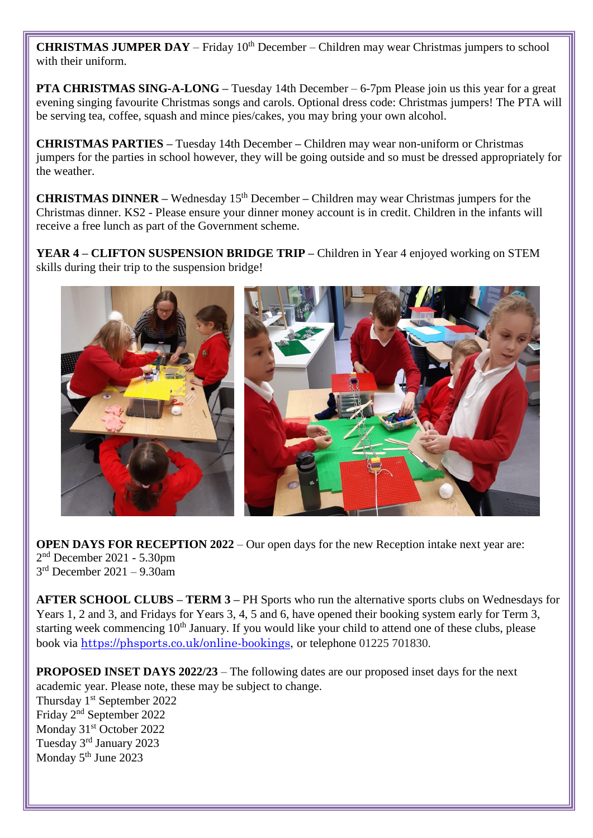**CHRISTMAS JUMPER DAY** – Friday 10<sup>th</sup> December – Children may wear Christmas jumpers to school with their uniform.

**PTA CHRISTMAS SING-A-LONG –** Tuesday 14th December – 6-7pm Please join us this year for a great evening singing favourite Christmas songs and carols. Optional dress code: Christmas jumpers! The PTA will be serving tea, coffee, squash and mince pies/cakes, you may bring your own alcohol.

**CHRISTMAS PARTIES –** Tuesday 14th December **–** Children may wear non-uniform or Christmas jumpers for the parties in school however, they will be going outside and so must be dressed appropriately for the weather.

**CHRISTMAS DINNER** – Wednesday 15<sup>th</sup> December – Children may wear Christmas jumpers for the Christmas dinner. KS2 - Please ensure your dinner money account is in credit. Children in the infants will receive a free lunch as part of the Government scheme.

**YEAR 4 – CLIFTON SUSPENSION BRIDGE TRIP –** Children in Year 4 enjoyed working on STEM skills during their trip to the suspension bridge!



**OPEN DAYS FOR RECEPTION 2022** – Our open days for the new Reception intake next year are: 2 nd December 2021 - 5.30pm 3 rd December 2021 – 9.30am

**AFTER SCHOOL CLUBS – TERM 3 –** PH Sports who run the alternative sports clubs on Wednesdays for Years 1, 2 and 3, and Fridays for Years 3, 4, 5 and 6, have opened their booking system early for Term 3, starting week commencing  $10<sup>th</sup>$  January. If you would like your child to attend one of these clubs, please book via [https://phsports.co.uk/online-bookings,](https://phsports.co.uk/online-bookings) or telephone 01225 701830.

**PROPOSED INSET DAYS 2022/23** – The following dates are our proposed inset days for the next academic year. Please note, these may be subject to change. Thursday 1<sup>st</sup> September 2022 Friday 2nd September 2022 Monday 31<sup>st</sup> October 2022 Tuesday 3rd January 2023 Monday 5<sup>th</sup> June 2023